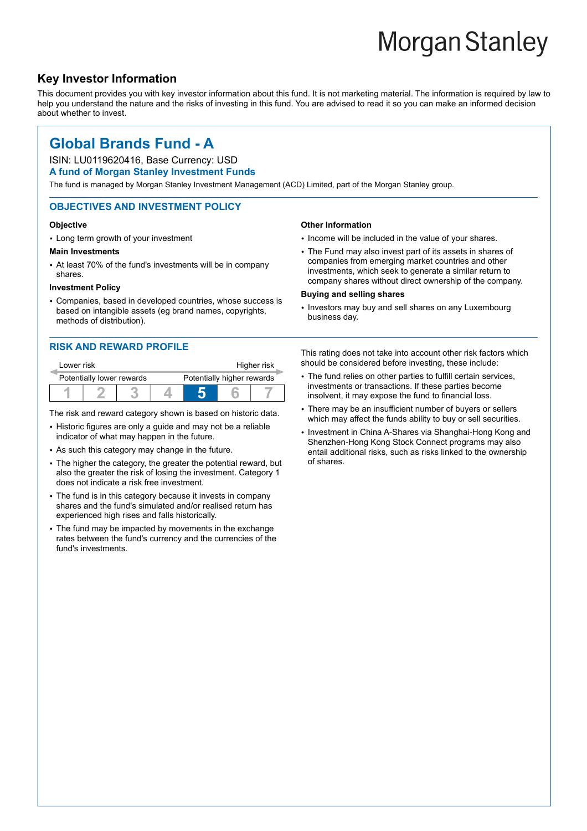# **Morgan Stanley**

### **Key Investor Information**

This document provides you with key investor information about this fund. It is not marketing material. The information is required by law to help you understand the nature and the risks of investing in this fund. You are advised to read it so you can make an informed decision about whether to invest.

**Other Information**

**Buying and selling shares**

## **Global Brands Fund - A**

#### ISIN: LU0119620416, Base Currency: USD

#### **A fund of Morgan Stanley Investment Funds**

The fund is managed by Morgan Stanley Investment Management (ACD) Limited, part of the Morgan Stanley group.

#### **OBJECTIVES AND INVESTMENT POLICY**

#### **Objective**

• Long term growth of your investment

#### **Main Investments**

• At least 70% of the fund's investments will be in company shares.

#### **Investment Policy**

2 Companies, based in developed countries, whose success is based on intangible assets (eg brand names, copyrights, methods of distribution).

#### **RISK AND REWARD PROFILE**

| Lower risk                |  |  |                            | Higher risk |  |  |
|---------------------------|--|--|----------------------------|-------------|--|--|
| Potentially lower rewards |  |  | Potentially higher rewards |             |  |  |
|                           |  |  |                            |             |  |  |

The risk and reward category shown is based on historic data.

- Historic figures are only a guide and may not be a reliable indicator of what may happen in the future.
- As such this category may change in the future.
- The higher the category, the greater the potential reward, but also the greater the risk of losing the investment. Category 1 does not indicate a risk free investment.
- The fund is in this category because it invests in company shares and the fund's simulated and/or realised return has experienced high rises and falls historically.
- The fund may be impacted by movements in the exchange rates between the fund's currency and the currencies of the fund's investments.

• Investors may buy and sell shares on any Luxembourg business day.

• Income will be included in the value of your shares. • The Fund may also invest part of its assets in shares of companies from emerging market countries and other investments, which seek to generate a similar return to company shares without direct ownership of the company.

This rating does not take into account other risk factors which should be considered before investing, these include:

- The fund relies on other parties to fulfill certain services, investments or transactions. If these parties become insolvent, it may expose the fund to financial loss.
- There may be an insufficient number of buyers or sellers which may affect the funds ability to buy or sell securities.
- Investment in China A-Shares via Shanghai-Hong Kong and Shenzhen-Hong Kong Stock Connect programs may also entail additional risks, such as risks linked to the ownership of shares.